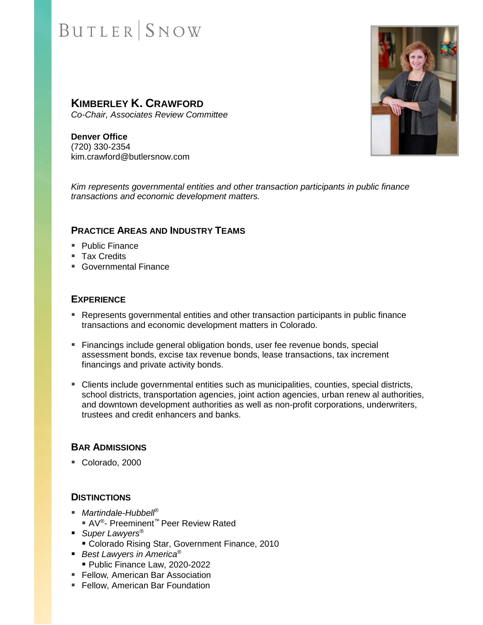# **BUTLER** SNOW

## **KIMBERLEY K. CRAWFORD**

*Co-Chair, Associates Review Committee*

**Denver Office** (720) 330-2354 kim.crawford@butlersnow.com



### **PRACTICE AREAS AND INDUSTRY TEAMS**

- Public Finance
- Tax Credits
- Governmental Finance

### **EXPERIENCE**

- Represents governmental entities and other transaction participants in public finance transactions and economic development matters in Colorado.
- **EXECT** Financings include general obligation bonds, user fee revenue bonds, special assessment bonds, excise tax revenue bonds, lease transactions, tax increment financings and private activity bonds.
- Clients include governmental entities such as municipalities, counties, special districts, school districts, transportation agencies, joint action agencies, urban renew al authorities, and downtown development authorities as well as non-profit corporations, underwriters, trustees and credit enhancers and banks.

### **BAR ADMISSIONS**

■ Colorado, 2000

#### **DISTINCTIONS**

- *Martindale-Hubbell<sup>®</sup>* ■ AV<sup>®</sup>- Preeminent<sup>™</sup> Peer Review Rated
- *Super Lawyers<sup>®</sup>* 
	- Colorado Rising Star, Government Finance, 2010
- *Best Lawyers in America<sup>®</sup>* 
	- Public Finance Law, 2020-2022
- Fellow*,* American Bar Association
- Fellow, American Bar Foundation